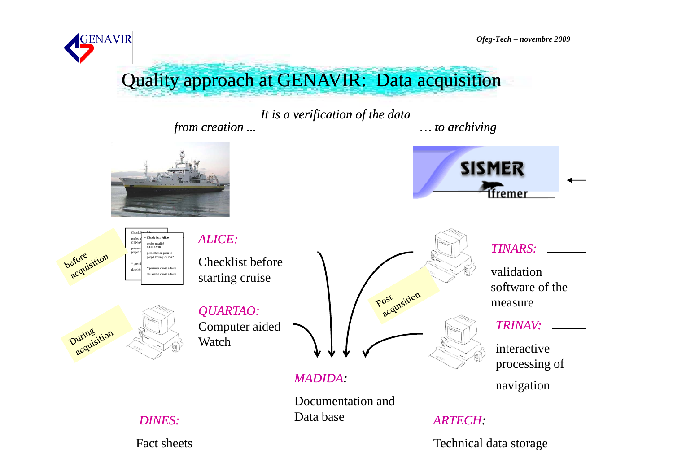**GENAVIR** 

Ofeg-Tech - novembre 2009

Quality approach at GENAVIR: Data acquisition

It is a verification of the data from creation ...  $\ldots$  to archiving

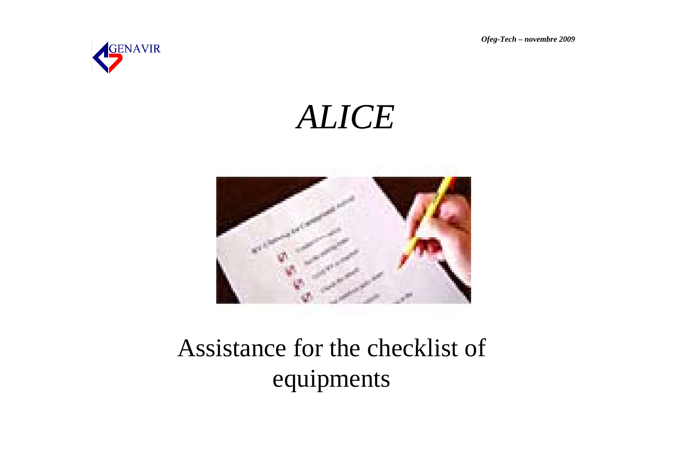Ofeg-Tech - novembre 2009



**ALICE** 



## Assistance for the checklist of equipments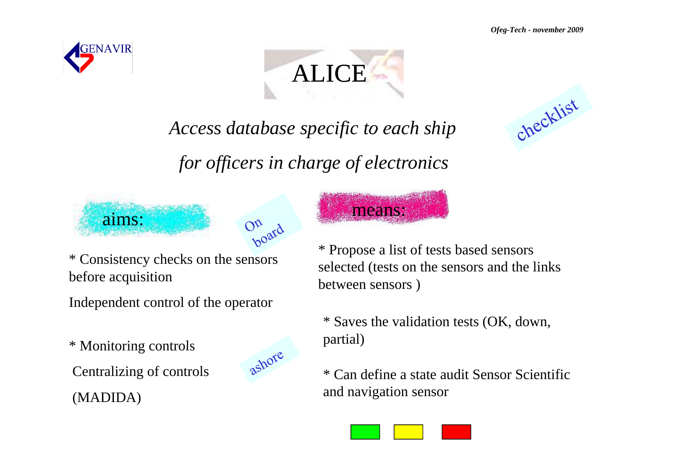



means:

*Access database specific to each ship*

*for officers in charge of electronics*





\* Consistency checks on the sensors before acquisition

Independent control of the operator

\* Monitoring controls partial)

Centralizing of controls

(MADIDA)



\* Propose a list of tests based sensors selected (tests on the sensors and the links between sensors )

\* Saves the validation tests (OK, down, partial)

\* Can define a state audit Sensor Scientific and navigation sensor



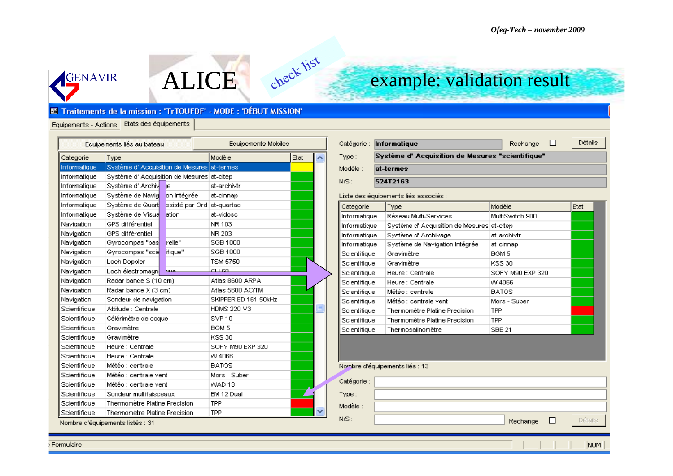

## example: validation result

### **E Traitements de la mission : 'TrTOUFDF' - MODE : 'DÉBUT MISSION'**

ALICE

check list

### Equipements - Actions Etats des équipements

| Equipements liés au bateau |                                             | Equipements Mobiles |                      |      |  |
|----------------------------|---------------------------------------------|---------------------|----------------------|------|--|
| Categorie                  | Type                                        |                     | Modèle               | Etat |  |
| Informatique               | Système d' Acquisition de Mesures at-termes |                     |                      |      |  |
| Informatique               | Système d' Acquisition de Mesures at-citep  |                     |                      |      |  |
| Informatique               | Système d' Archiv                           | ie                  | at-archivtr          |      |  |
| Informatique               | Système de Navig                            | on Intégrée         | at-cinnap            |      |  |
| Informatique               | Système de Quart                            | ssisté par Ord      | at-quartao           |      |  |
| Informatique               | Système de Visua                            | lation              | at-vidosc            |      |  |
| Navigation                 | GPS différentiel                            |                     | NR 103               |      |  |
| Navigation                 | GPS différentiel                            |                     | NR 203               |      |  |
| Navigation                 | Gyrocompas "pas                             | relle"              | SGB 1000             |      |  |
| Navigation                 | Gyrocompas "scie                            | ifique"             | SGB 1000             |      |  |
| Navigation                 | Loch Doppler                                |                     | <b>TSM 5750</b>      |      |  |
| Navigation                 | Loch électromagn                            | صبيط                | CLL 60.              |      |  |
| Navigation                 | Radar bande S (10 cm)                       |                     | Atlas 8600 ARPA      |      |  |
| Navigation                 | Radar bande X (3 cm)                        |                     | Atlas 5600 AC/TM     |      |  |
| Navigation                 | Sondeur de navigation                       |                     | SKIPPER ED 161 50kHz |      |  |
| Scientifique               | Attitude : Centrale                         |                     | HDMS 220 V3          |      |  |
| Scientifique               | Célérimètre de coque                        |                     | SVP <sub>10</sub>    |      |  |
| Scientifique               | Gravimètre                                  |                     | BGM 5                |      |  |
| Scientifique               | Gravimètre                                  |                     | <b>KSS 30</b>        |      |  |
| Scientifique               | Heure : Centrale                            |                     | SOFY M90 EXP 320     |      |  |
| Scientifique               | Heure : Centrale                            |                     | VV 4066              |      |  |
| Scientifique               | Météo : centrale                            |                     | <b>BATOS</b>         |      |  |
| Scientifique               | Météo : centrale vent                       |                     | Mors - Suber         |      |  |
| Scientifique               | Météo : centrale vent                       |                     | WAD 13               |      |  |
| Scientifique               | Sondeur multifaisceaux                      |                     | EM 12 Dual           |      |  |
| Scientifique               | Thermomètre Platine Precision               |                     | TPP                  |      |  |
| Scientifique               | Thermomètre Platine Precision               |                     | <b>TPP</b>           |      |  |
|                            | Nombre d'équipements listés : 31            |                     |                      |      |  |

|          | Catégorie: Informatique                         | Rechange | Détails. |
|----------|-------------------------------------------------|----------|----------|
| Type:    | Système d'Acquisition de Mesures "scientifique" |          |          |
| Modèle : | at-termes                                       |          |          |
| $NSS$ :  | 524T2163                                        |          |          |
|          |                                                 |          |          |

### Liste des équipements liés associés :

| Categorie    | Type                              | Modèle           | Etat |
|--------------|-----------------------------------|------------------|------|
| Informatique | Réseau Multi-Services             | MultiSwitch 900  |      |
| Informatique | Système d' Acquisition de Mesures | at-citep         |      |
| Informatique | Système d'Archivage               | at-archivtr      |      |
| Informatique | Système de Navigation Intégrée    | at-cinnap        |      |
| Scientifique | Gravimètre                        | BGM 5            |      |
| Scientifique | Gravimètre                        | <b>KSS 30</b>    |      |
| Scientifique | Heure : Centrale                  | SOFY M90 EXP 320 |      |
| Scientifique | Heure : Centrale                  | VV 4066          |      |
| Scientifique | Météo : centrale.                 | <b>BATOS</b>     |      |
| Scientifique | Météo : centrale vent.            | Mors - Suber     |      |
| Scientifique | Thermomètre Platine Precision     | <b>TPP</b>       |      |
| Scientifique | Thermomètre Platine Precision     | <b>TPP</b>       |      |
| Scientifique | Thermosalinomètre                 | <b>SBE 21</b>    |      |

#### Nombre d'équipements liés : 13

| Catégorie : |          |              |                |
|-------------|----------|--------------|----------------|
| Type:       |          |              |                |
| Modèle :    |          |              |                |
| N/S:        | Rechange | $\mathbf{L}$ | <b>Détails</b> |

NUM

Formulaire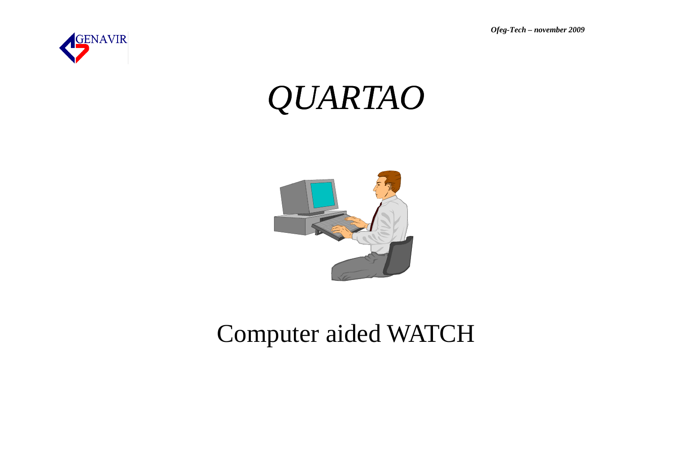Ofeg-Tech - november 2009



# *QUARTAO*



## **Computer aided WATCH**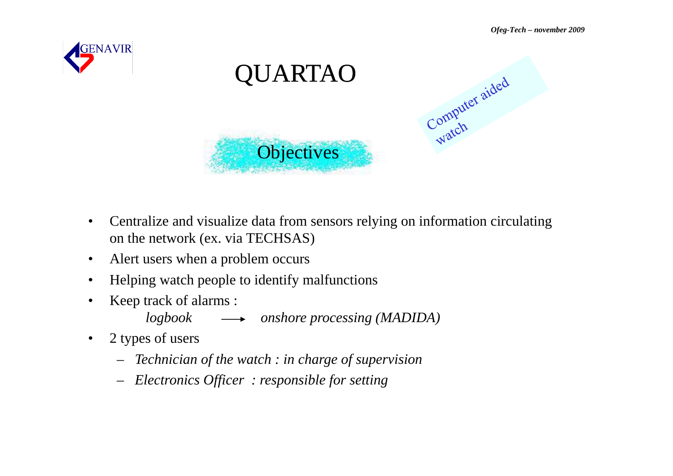



- $\bullet$  Centralize and visualize data from sensors relying on information circulating on the network (ex. via TECHSAS)
- $\bullet$ Alert users when a problem occurs
- •Helping watch people to identify malfunctions
- • Keep track of alarms :
	- *logbook onshore processing (MADIDA)*
- $\bullet$  2 types of users
	- *Technician of the watch : in charge of supervision*
	- *Electronics Officer : responsible for setting*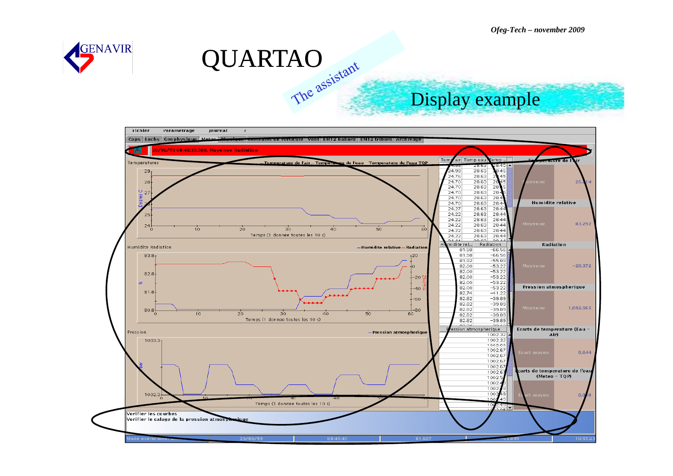



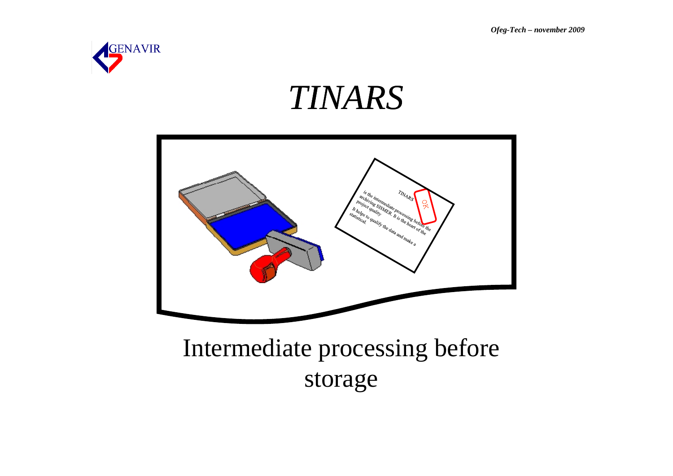*Ofeg-Tech – november 2009*



# *TINARS*



## Intermediate processing before storage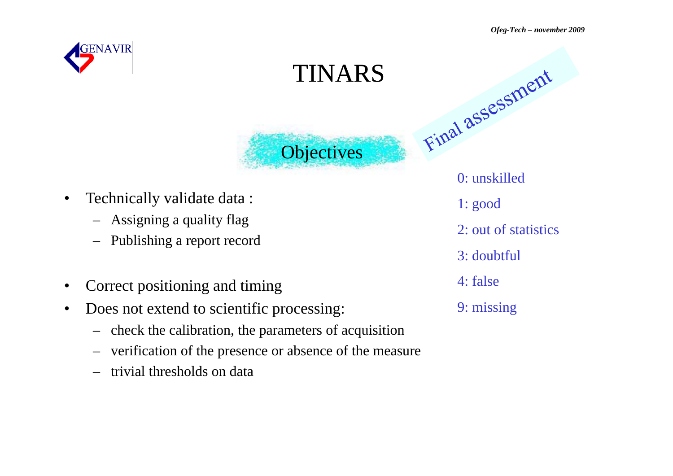

•

# Final assessment TINARS**Objectives** Technically validate data :

- Assigning a quality flag
- Publishing a report record<br>• Correct positioning and time
- Correct positioning and timing
- Correct positioning and timing<br>• Does not extend to scientific processing: 9 mis Does not extend to scientific processing:
	- check the calibration, the parameters of acquisition
	- verification of the presence or absence of the measure –
	- –trivial thresholds on data

0: unskilled1: good 2: out of statistics 3: doubtful 4: false9: missing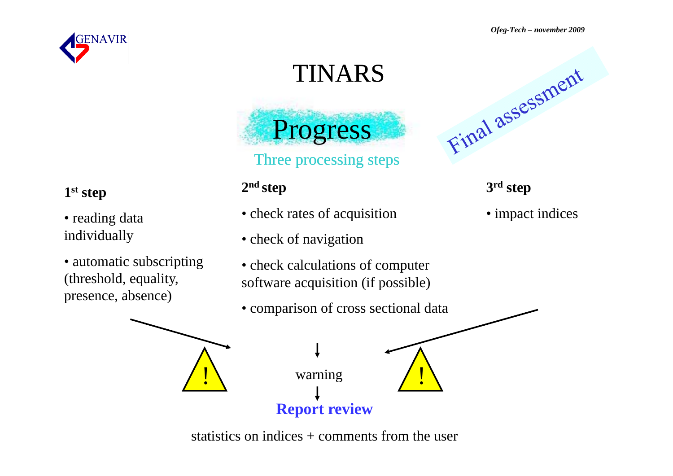*Ofeg-Tech – november 2009*



# TINARS



### **2nd tstep**  $1^{\text{st}}$  **step**  $3^{\text{rd}}$  **step**  $3^{\text{rd}}$  **st**

- check rates of acquisition
- check of navigation
- check calculations of computer software acquisition (if possible)
- comparison of cross sectional data



### 3<sup>rd</sup> step

• impact indices

• automatic subscripting (threshold, equality, presence, absence)

• reading data

individually



statistics on indices + comments from the user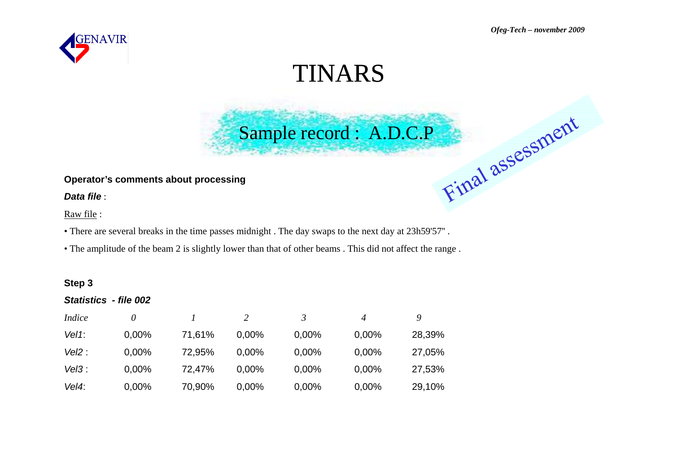

## TINARS

Sample record : A.D.C.P

### **Operator's comments about processing**

*Data file* :

Raw file :

• There are several breaks in the time passes midnight . The day swaps to the next day at 23h59'57'' .

• The amplitude of the beam 2 is slightly lower than that of other beams . This did not affect the range .

### **Step 3**

### *Statistics - file 002*

| <i>Indice</i> | $\theta$ |        |          | 3     | 4     | Q      |
|---------------|----------|--------|----------|-------|-------|--------|
| $Vel1$ :      | 0,00%    | 71,61% | 0,00%    | 0,00% | 0,00% | 28,39% |
| Vel2:         | 0,00%    | 72,95% | $0.00\%$ | 0,00% | 0,00% | 27,05% |
| Vel3:         | 0,00%    | 72,47% | $0.00\%$ | 0,00% | 0,00% | 27,53% |
| Vel4:         | 0,00%    | 70,90% | 0,00%    | 0,00% | 0,00% | 29,10% |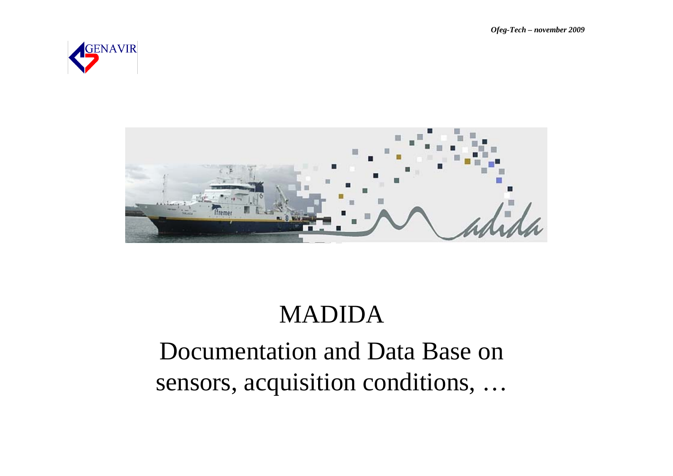Ofeg-Tech - november 2009





# **MADIDA** Documentation and Data Base on sensors, acquisition conditions, ...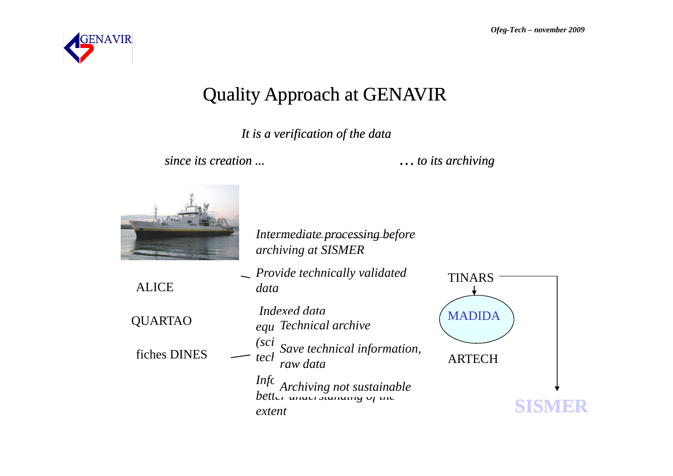

## Quality Approach at GENAVIR

### *I i ifi i f h d It is a ver s verification of t he data*

*since its creation ...* 

*… to its archiving* 



Intermediate processing before *a cruise archiving at SISMER* 

**ALICE** *data* $(sci)$ *raw data* 

*Monitoring and Provide technically validated homogenization of Computer aided Watch* QUARTAO *Indexenting* (MADIDA *Indexed data Registration of the controls acquisitions (plots, statistics, equipments for users of sensors Technical archive*  $(sci \nvert s_{\text{true}})$  *scalerical information* fiches DINES  $\leftarrow$   $\begin{array}{cc}$  save technical information,<br>hRTECH *Information of sensor able better understanding of the Archiving not sustainable* 

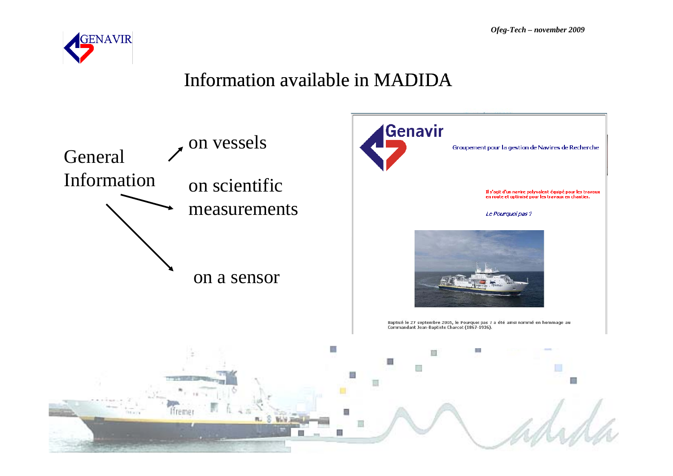

## Information available in MADIDA

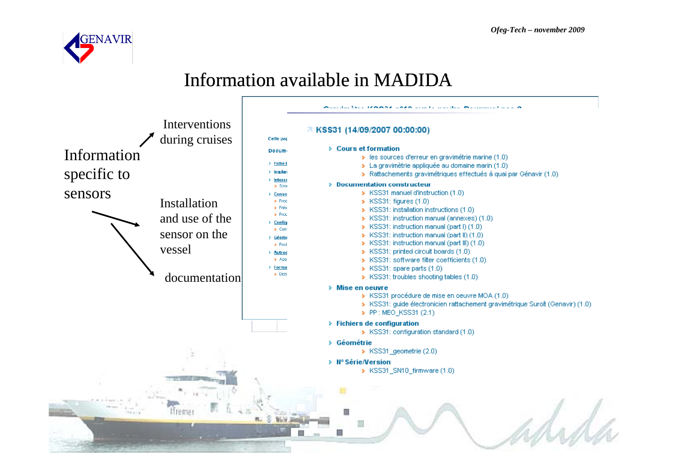

## Information available in MADIDA